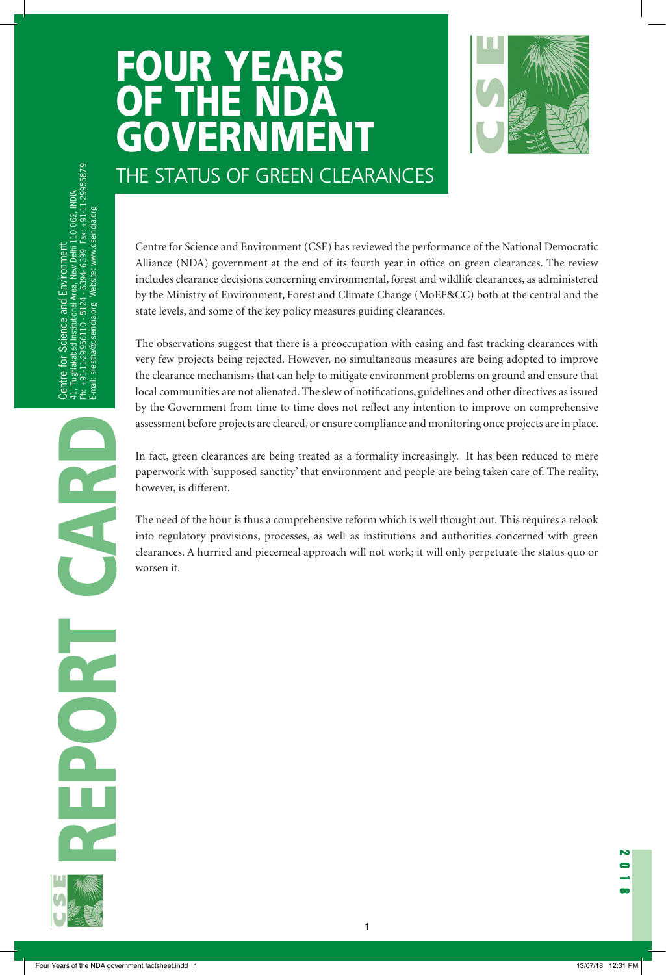# FOUR YEARS OF THE ND **GRUNDER** THE STATUS OF GREEN CLEARANCES



. Tughlakabad Institutional Area, New Delhi 110 O62, INDIA<br>+91-11-29956110 - 5124 - 6394- 6399 Fax: +91-11-29955879<br>iali: srestha@cseindia.org Website: www.cseindia.org Ph: +1, Hubinakadad Insuludian Area, New Denii 110 Ooz, Nudia Ph: +91-11-29956110 - 5124 - 6394- 6399 Fax: +91-11-29955879 41, Tughlakabad Institutional Area, New Delhi 110 062, India<br>Area, New Delhi 110 062, India<br>Area, New Delhi 110 062, India 41, Tughlakabad Institutional Area, New Delhi 110 062, INDIA E-mail: srestha@cseindia.org Website: www.cseindia.org E-mail: www.cseindia.org Website: www.cseindia.org Website: www.cseindia.org Website: www.cseindia.org Centre for Science and Environment Environment Centre for Science and Environment Science and  $\mathsf{f}$ Centre E-mail:  $\frac{1}{4}$ .

Alliance (NDA) government at the end of its fourth year in office on green clearances. The review includes clearance decisions concerning environmental, forest and wildlife clearances, as administered by the Ministry of Environment, Forest and Climate Change (MoEF&CC) both at the central and the state levels, and some of the key policy measures guiding clearances.

Centre for science and Fortionment (CSE) has reviewed the performance of the National Democratic CSE) with the state and Environment (CSE) has reviewed the performance of the National Democratic control of the Minister of The observations suggest that there is a preoccupation with easing and fast tracking clearances with very few projects being rejected. However, no simultaneous measures are being adopted to improve the clearance mechanisms that can help to mitigate environment problems on ground and ensure that local communities are not alienated. The slew of notifications, guidelines and other directives as issued by the Government from time to time does not reflect any intention to improve on comprehensive assessment before projects are cleared, or ensure compliance and monitoring once projects are in place.

In fact, green clearances are being treated as a formality increasingly. It has been reduced to mere paperwork with 'supposed sanctity' that environment and people are being taken care of. The reality, however, is different.

The need of the hour is thus a comprehensive reform which is well thought out. This requires a relook into regulatory provisions, processes, as well as institutions and authorities concerned with green clearances. A hurried and piecemeal approach will not work; it will only perpetuate the status quo or worsen it.

1

REPORT CARD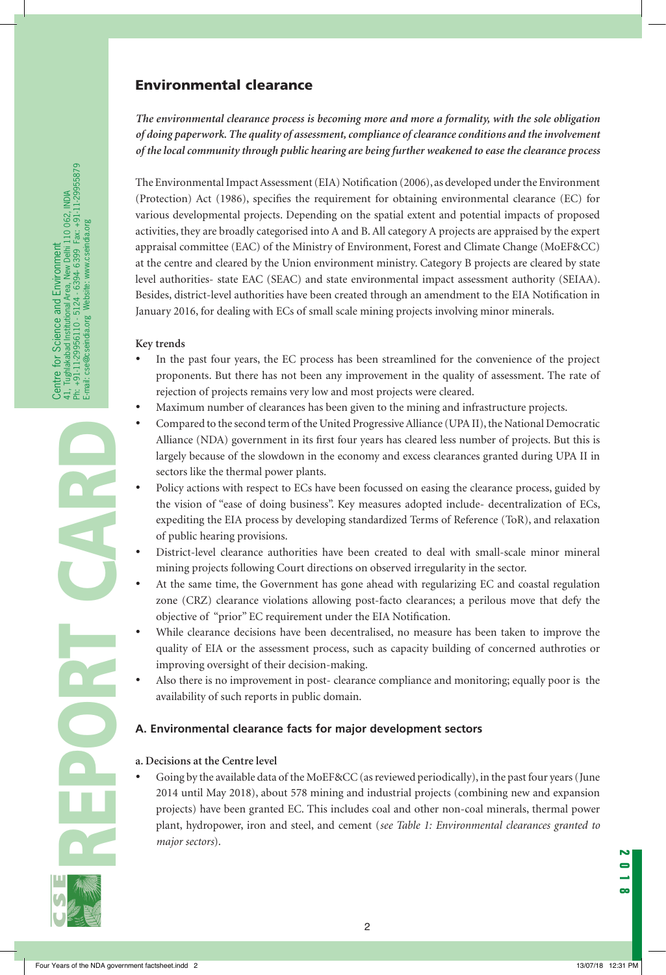# Environmental clearance

*The environmental clearance process is becoming more and more a formality, with the sole obligation of doing paperwork. The quality of assessment, compliance of clearance conditions and the involvement of the local community through public hearing are being further weakened to ease the clearance process*

The Environmental Impact Assessment (EIA) Notification (2006), as developed under the Environment (Protection) Act (1986), specifies the requirement for obtaining environmental clearance (EC) for various developmental projects. Depending on the spatial extent and potential impacts of proposed activities, they are broadly categorised into A and B. All category A projects are appraised by the expert appraisal committee (EAC) of the Ministry of Environment, Forest and Climate Change (MoEF&CC) at the centre and cleared by the Union environment ministry. Category B projects are cleared by state level authorities- state EAC (SEAC) and state environmental impact assessment authority (SEIAA). Besides, district-level authorities have been created through an amendment to the EIA Notification in January 2016, for dealing with ECs of small scale mining projects involving minor minerals.

#### **Key trends**

- In the past four years, the EC process has been streamlined for the convenience of the project proponents. But there has not been any improvement in the quality of assessment. The rate of rejection of projects remains very low and most projects were cleared.
- • Maximum number of clearances has been given to the mining and infrastructure projects.
- Compared to the second term of the United Progressive Alliance (UPA II), the National Democratic Alliance (NDA) government in its first four years has cleared less number of projects. But this is largely because of the slowdown in the economy and excess clearances granted during UPA II in sectors like the thermal power plants.
- Policy actions with respect to ECs have been focussed on easing the clearance process, guided by the vision of "ease of doing business". Key measures adopted include- decentralization of ECs, expediting the EIA process by developing standardized Terms of Reference (ToR), and relaxation of public hearing provisions.
- District-level clearance authorities have been created to deal with small-scale minor mineral mining projects following Court directions on observed irregularity in the sector.
- At the same time, the Government has gone ahead with regularizing EC and coastal regulation zone (CRZ) clearance violations allowing post-facto clearances; a perilous move that defy the objective of "prior" EC requirement under the EIA Notification.
- While clearance decisions have been decentralised, no measure has been taken to improve the quality of EIA or the assessment process, such as capacity building of concerned authroties or improving oversight of their decision-making.
- Also there is no improvement in post- clearance compliance and monitoring; equally poor is the availability of such reports in public domain.

#### **A. Environmental clearance facts for major development sectors**

#### **a. Decisions at the Centre level**

Going by the available data of the MoEF&CC (as reviewed periodically), in the past four years (June 2014 until May 2018), about 578 mining and industrial projects (combining new and expansion projects) have been granted EC. This includes coal and other non-coal minerals, thermal power plant, hydropower, iron and steel, and cement (*see Table 1: Environmental clearances granted to major sectors*).

2

REPORT CARD

Centre for Science and Environment

41, Tughlakabad Institutional Area, New Delhi 110 062, INDIA Ph: +91-11-29956110 - 5124 - 6394- 6399 Fax: +91-11-29955879

Centre for Science and Environment<br>41, Tughlakabad Institutional Area, New Delhi 110 062, INDIA<br>Ph: +91-11-29956110 - 5124 - 6394-6399 Fax: +91-11-29955879<br>E-mail: cse@cseindia.org Website: www.cseindia.org

E-mail: cse@cseindia.org Website: www.cseindia.org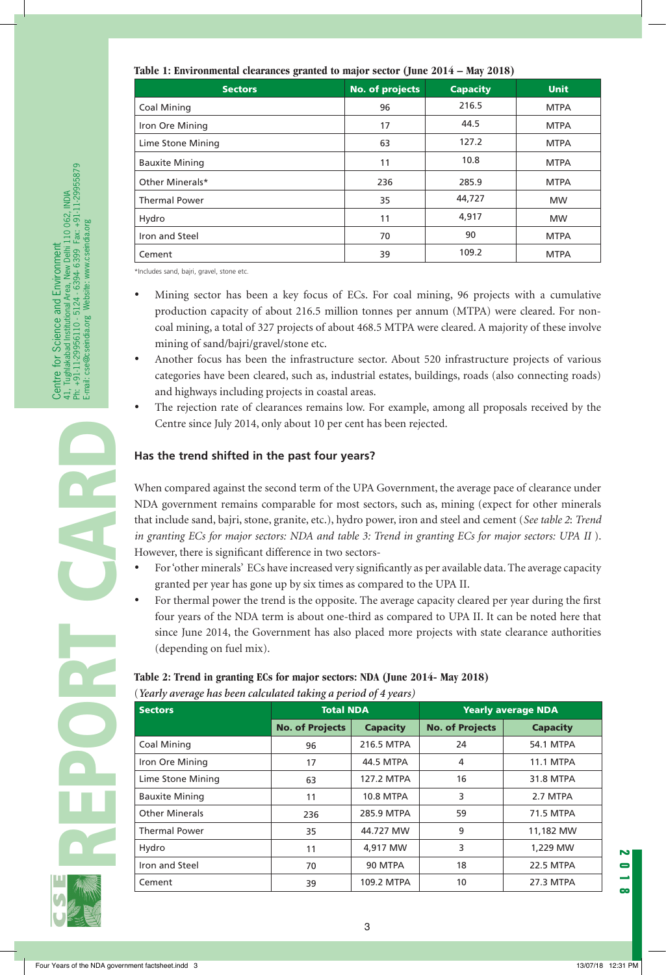| Table 1: Environmental clearances granted to major sector (June 2014 - May 2018) |  |  |  |  |  |  |
|----------------------------------------------------------------------------------|--|--|--|--|--|--|
|----------------------------------------------------------------------------------|--|--|--|--|--|--|

| <b>Sectors</b>        | <b>No. of projects</b> | <b>Capacity</b> | <b>Unit</b> |
|-----------------------|------------------------|-----------------|-------------|
| <b>Coal Mining</b>    | 96                     | 216.5           | <b>MTPA</b> |
| Iron Ore Mining       | 17                     | 44.5            | <b>MTPA</b> |
| Lime Stone Mining     | 63                     | 127.2           | <b>MTPA</b> |
| <b>Bauxite Mining</b> | 11                     | 10.8            | <b>MTPA</b> |
| Other Minerals*       | 236                    | 285.9           | <b>MTPA</b> |
| <b>Thermal Power</b>  | 35                     | 44,727          | <b>MW</b>   |
| Hydro                 | 11                     | 4,917           | <b>MW</b>   |
| Iron and Steel        | 70                     | 90              | <b>MTPA</b> |
| Cement                | 39                     | 109.2           | <b>MTPA</b> |

\*Includes sand, bajri, gravel, stone etc.

- Mining sector has been a key focus of ECs. For coal mining, 96 projects with a cumulative production capacity of about 216.5 million tonnes per annum (MTPA) were cleared. For noncoal mining, a total of 327 projects of about 468.5 MTPA were cleared. A majority of these involve mining of sand/bajri/gravel/stone etc.
- Another focus has been the infrastructure sector. About 520 infrastructure projects of various categories have been cleared, such as, industrial estates, buildings, roads (also connecting roads) and highways including projects in coastal areas.
- The rejection rate of clearances remains low. For example, among all proposals received by the Centre since July 2014, only about 10 per cent has been rejected.

## **Has the trend shifted in the past four years?**

When compared against the second term of the UPA Government, the average pace of clearance under NDA government remains comparable for most sectors, such as, mining (expect for other minerals that include sand, bajri, stone, granite, etc.), hydro power, iron and steel and cement (*See table 2*: *Trend in granting ECs for major sectors: NDA and table 3: Trend in granting ECs for major sectors: UPA II* ). However, there is significant difference in two sectors-

- For 'other minerals' ECs have increased very significantly as per available data. The average capacity granted per year has gone up by six times as compared to the UPA II.
- For thermal power the trend is the opposite. The average capacity cleared per year during the first four years of the NDA term is about one-third as compared to UPA II. It can be noted here that since June 2014, the Government has also placed more projects with state clearance authorities (depending on fuel mix).

## **Table 2: Trend in granting ECs for major sectors: NDA (June 2014- May 2018)** (*Yearly average has been calculated taking a period of 4 years)*

| <b>Sectors</b>        | <b>Total NDA</b>                          |                  | <b>Yearly average NDA</b> |                  |  |
|-----------------------|-------------------------------------------|------------------|---------------------------|------------------|--|
|                       | <b>No. of Projects</b><br><b>Capacity</b> |                  | <b>No. of Projects</b>    | <b>Capacity</b>  |  |
| Coal Mining           | 96                                        | 216.5 MTPA       | 24                        | <b>54.1 MTPA</b> |  |
| Iron Ore Mining       | 17                                        | 44.5 MTPA        | 4                         | <b>11.1 MTPA</b> |  |
| Lime Stone Mining     | 63                                        | 127.2 MTPA       | 16                        | 31.8 MTPA        |  |
| <b>Bauxite Mining</b> | 11                                        | <b>10.8 MTPA</b> | 3                         | 2.7 MTPA         |  |
| <b>Other Minerals</b> | 236                                       | 285.9 MTPA       | 59                        | 71.5 MTPA        |  |
| <b>Thermal Power</b>  | 35                                        | 44.727 MW        | 9                         | 11,182 MW        |  |
| Hydro                 | 11                                        | 4,917 MW         | 3                         | 1,229 MW         |  |
| Iron and Steel        | 70                                        | 90 MTPA          | 18                        | <b>22.5 MTPA</b> |  |
| Cement                | 39                                        | 109.2 MTPA       | 10                        | 27.3 MTPA        |  |

REPORT CARD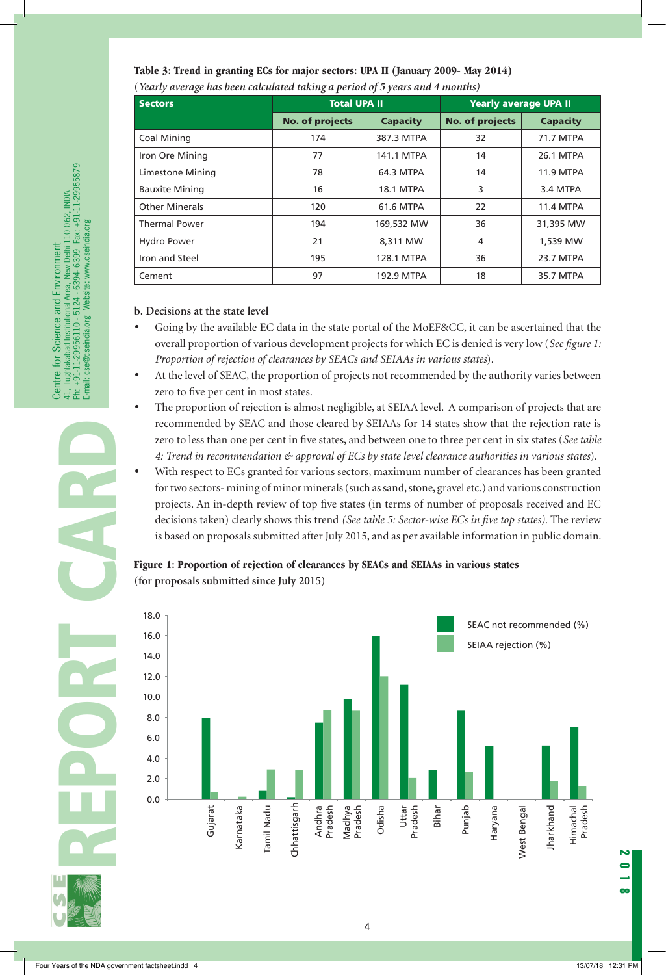| <b>Sectors</b>        | <b>Total UPA II</b> |                  | <b>Yearly average UPA II</b> |                  |  |  |
|-----------------------|---------------------|------------------|------------------------------|------------------|--|--|
|                       | No. of projects     | <b>Capacity</b>  | <b>No. of projects</b>       | <b>Capacity</b>  |  |  |
| <b>Coal Mining</b>    | 174                 | 387.3 MTPA       | 32                           | 71.7 MTPA        |  |  |
| Iron Ore Mining       | 77                  | 141.1 MTPA       | 14                           | 26.1 MTPA        |  |  |
| Limestone Mining      | 78                  | 64.3 MTPA        | 14                           | <b>11.9 MTPA</b> |  |  |
| <b>Bauxite Mining</b> | 16                  | <b>18.1 MTPA</b> | 3                            | 3.4 MTPA         |  |  |
| <b>Other Minerals</b> | 120                 | <b>61.6 MTPA</b> | 22                           | <b>11.4 MTPA</b> |  |  |
| <b>Thermal Power</b>  | 194                 | 169,532 MW       | 36                           | 31,395 MW        |  |  |
| <b>Hydro Power</b>    | 21                  | 8,311 MW         | 4                            | 1,539 MW         |  |  |
| Iron and Steel        | 195                 | 128.1 MTPA       | 36                           | 23.7 MTPA        |  |  |
| Cement                | 97                  | 192.9 MTPA       | 18                           | 35.7 MTPA        |  |  |

**Table 3: Trend in granting ECs for major sectors: UPA II (January 2009- May 2014)** (*Yearly average has been calculated taking a period of 5 years and 4 months)*

#### **b. Decisions at the state level**

- Going by the available EC data in the state portal of the MoEF&CC, it can be ascertained that the overall proportion of various development projects for which EC is denied is very low (*See figure 1: Proportion of rejection of clearances by SEACs and SEIAAs in various states*).
- At the level of SEAC, the proportion of projects not recommended by the authority varies between zero to five per cent in most states.
- The proportion of rejection is almost negligible, at SEIAA level. A comparison of projects that are recommended by SEAC and those cleared by SEIAAs for 14 states show that the rejection rate is zero to less than one per cent in five states, and between one to three per cent in six states (*See table 4: Trend in recommendation & approval of ECs by state level clearance authorities in various states*).
- With respect to ECs granted for various sectors, maximum number of clearances has been granted for two sectors- mining of minor minerals (such as sand, stone, gravel etc.) and various construction projects. An in-depth review of top five states (in terms of number of proposals received and EC decisions taken) clearly shows this trend *(See table 5: Sector-wise ECs in five top states).* The review is based on proposals submitted after July 2015, and as per available information in public domain.

## **Figure 1: Proportion of rejection of clearances by SEACs and SEIAAs in various states (for proposals submitted since July 2015)**



4

. Tughlakabad Institutional Area, New Delhi 110 O62, INDIA.<br>+91-11-29956110 - 5124 - 6394- 6399 Fax: +91-11-29955879<br>iali: cse@cseindia.org Website: www.cseindia.org Ph: +91-11-29956110 - 5124 - 6394- 6399 Fax: +91-11-29955879 41, Tughlakabad Institutional Area, New Delhi 110 062, INDIA E-mail: cse@cseindia.org Website: www.cseindia.org for Science and Environment Centre for Science and Environment Centre for Science an<br>41, Tughlakabad Institutiona<br>Ph: +91-11-29956110 - 512<br>E-mail: cse@cseindia.org W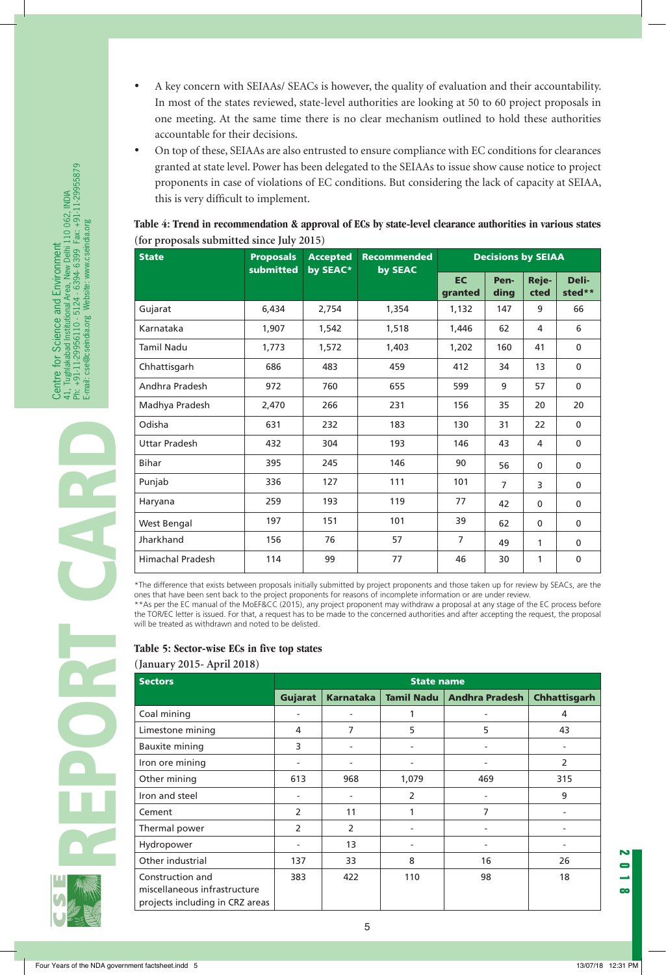- A key concern with SEIAAs/ SEACs is however, the quality of evaluation and their accountability. In most of the states reviewed, state-level authorities are looking at 50 to 60 project proposals in one meeting. At the same time there is no clear mechanism outlined to hold these authorities accountable for their decisions.
- On top of these, SEIAAs are also entrusted to ensure compliance with EC conditions for clearances granted at state level. Power has been delegated to the SEIAAs to issue show cause notice to project proponents in case of violations of EC conditions. But considering the lack of capacity at SEIAA, this is very difficult to implement.

## **Table 4: Trend in recommendation & approval of ECs by state-level clearance authorities in various states (for proposals submitted since July 2015)**

| <b>State</b>            | <b>Proposals</b><br>submitted | <b>Accepted</b><br>by SEAC* | <b>Recommended</b><br>by SEAC | <b>Decisions by SEIAA</b> |                |               |                 |  |
|-------------------------|-------------------------------|-----------------------------|-------------------------------|---------------------------|----------------|---------------|-----------------|--|
|                         |                               |                             |                               | <b>EC</b><br>granted      | Pen-<br>ding   | Reje-<br>cted | Deli-<br>sted** |  |
| Gujarat                 | 6,434                         | 2,754                       | 1,354                         | 1,132                     | 147            | 9             | 66              |  |
| Karnataka               | 1,907                         | 1,542                       | 1,518                         | 1,446                     | 62             | 4             | 6               |  |
| <b>Tamil Nadu</b>       | 1,773                         | 1,572                       | 1,403                         | 1,202                     | 160            | 41            | $\mathbf{0}$    |  |
| Chhattisgarh            | 686                           | 483                         | 459                           | 412                       | 34             | 13            | $\mathbf 0$     |  |
| Andhra Pradesh          | 972                           | 760                         | 655                           | 599                       | 9              | 57            | $\mathbf 0$     |  |
| Madhya Pradesh          | 2,470                         | 266                         | 231                           | 156                       | 35             | 20            | 20              |  |
| Odisha                  | 631                           | 232                         | 183                           | 130                       | 31             | 22            | $\mathbf 0$     |  |
| <b>Uttar Pradesh</b>    | 432                           | 304                         | 193                           | 146                       | 43             | 4             | $\mathbf 0$     |  |
| <b>Bihar</b>            | 395                           | 245                         | 146                           | 90                        | 56             | $\mathbf 0$   | $\mathbf 0$     |  |
| Punjab                  | 336                           | 127                         | 111                           | 101                       | $\overline{7}$ | 3             | $\mathbf 0$     |  |
| Haryana                 | 259                           | 193                         | 119                           | 77                        | 42             | $\mathbf{0}$  | 0               |  |
| West Bengal             | 197                           | 151                         | 101                           | 39                        | 62             | 0             | 0               |  |
| Jharkhand               | 156                           | 76                          | 57                            | 7                         | 49             | 1             | $\mathbf{0}$    |  |
| <b>Himachal Pradesh</b> | 114                           | 99                          | 77                            | 46                        | 30             | 1             | 0               |  |

\*The difference that exists between proposals initially submitted by project proponents and those taken up for review by SEACs, are the ones that have been sent back to the project proponents for reasons of incomplete information or are under review.

\*\*As per the EC manual of the MoEF&CC (2015), any project proponent may withdraw a proposal at any stage of the EC process before the TOR/EC letter is issued. For that, a request has to be made to the concerned authorities and after accepting the request, the proposal will be treated as withdrawn and noted to be delisted.

# **Table 5: Sector-wise ECs in five top states**

## **(January 2015- April 2018)**

| <b>Sectors</b>                                                                      |                          |                  | <b>State name</b> |                          |                     |
|-------------------------------------------------------------------------------------|--------------------------|------------------|-------------------|--------------------------|---------------------|
|                                                                                     | Gujarat                  | <b>Karnataka</b> | <b>Tamil Nadu</b> | <b>Andhra Pradesh</b>    | <b>Chhattisgarh</b> |
| Coal mining                                                                         | ۰                        |                  |                   | ۰                        | 4                   |
| Limestone mining                                                                    | 4                        | 7                | 5                 | 5                        | 43                  |
| <b>Bauxite mining</b>                                                               | 3                        |                  |                   | ٠                        |                     |
| Iron ore mining                                                                     | ۰                        |                  | $\blacksquare$    | $\overline{\phantom{0}}$ | 2                   |
| Other mining                                                                        | 613                      | 968              | 1,079             | 469                      | 315                 |
| Iron and steel                                                                      |                          |                  | 2                 | -                        | 9                   |
| Cement                                                                              | 2                        | 11               | 1                 | 7                        |                     |
| Thermal power                                                                       | 2                        | $\overline{2}$   |                   | ۰                        |                     |
| Hydropower                                                                          | $\overline{\phantom{a}}$ | 13               | $\blacksquare$    | $\overline{\phantom{0}}$ |                     |
| Other industrial                                                                    | 137                      | 33               | 8                 | 16                       | 26                  |
| Construction and<br>miscellaneous infrastructure<br>projects including in CRZ areas | 383                      | 422              | 110               | 98                       | 18                  |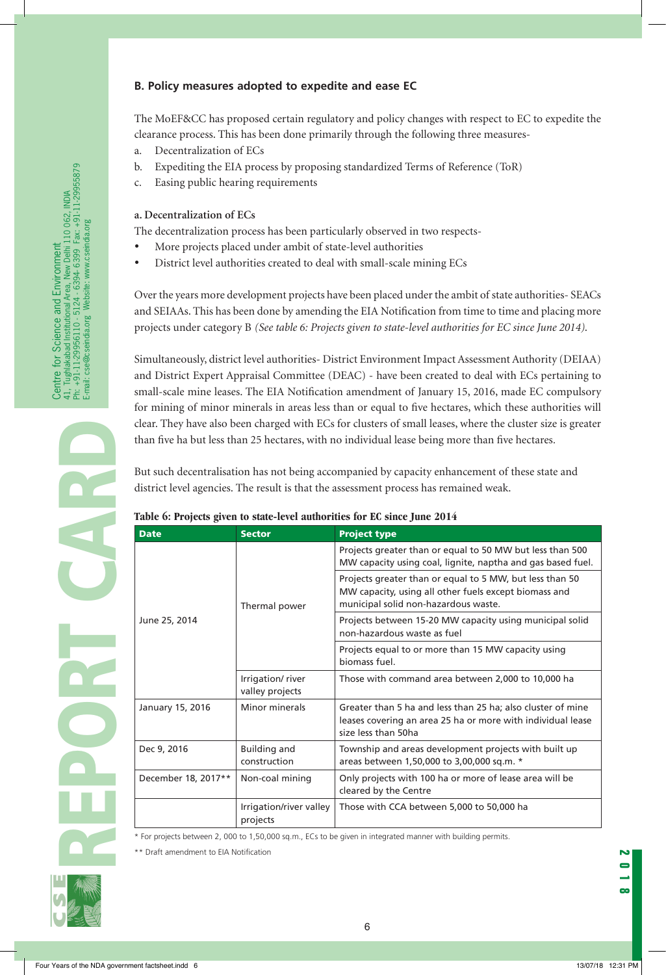## **B. Policy measures adopted to expedite and ease EC**

The MoEF&CC has proposed certain regulatory and policy changes with respect to EC to expedite the clearance process. This has been done primarily through the following three measures-

- a. Decentralization of ECs
- b. Expediting the EIA process by proposing standardized Terms of Reference (ToR)
- c. Easing public hearing requirements

#### **a. Decentralization of ECs**

The decentralization process has been particularly observed in two respects-

- More projects placed under ambit of state-level authorities
- • District level authorities created to deal with small-scale mining ECs

Over the years more development projects have been placed under the ambit of state authorities- SEACs and SEIAAs. This has been done by amending the EIA Notification from time to time and placing more projects under category B *(See table 6: Projects given to state-level authorities for EC since June 2014)*.

Simultaneously, district level authorities- District Environment Impact Assessment Authority (DEIAA) and District Expert Appraisal Committee (DEAC) - have been created to deal with ECs pertaining to small-scale mine leases. The EIA Notification amendment of January 15, 2016, made EC compulsory for mining of minor minerals in areas less than or equal to five hectares, which these authorities will clear. They have also been charged with ECs for clusters of small leases, where the cluster size is greater than five ha but less than 25 hectares, with no individual lease being more than five hectares*.*

But such decentralisation has not being accompanied by capacity enhancement of these state and district level agencies. The result is that the assessment process has remained weak.

#### **Table 6: Projects given to state-level authorities for EC since June 2014**

| <b>Date</b>         | <b>Sector</b>                       | <b>Project type</b>                                                                                                                                       |  |  |  |
|---------------------|-------------------------------------|-----------------------------------------------------------------------------------------------------------------------------------------------------------|--|--|--|
|                     |                                     | Projects greater than or equal to 50 MW but less than 500<br>MW capacity using coal, lignite, naptha and gas based fuel.                                  |  |  |  |
|                     | Thermal power                       | Projects greater than or equal to 5 MW, but less than 50<br>MW capacity, using all other fuels except biomass and<br>municipal solid non-hazardous waste. |  |  |  |
| June 25, 2014       |                                     | Projects between 15-20 MW capacity using municipal solid<br>non-hazardous waste as fuel                                                                   |  |  |  |
|                     |                                     | Projects equal to or more than 15 MW capacity using<br>biomass fuel.                                                                                      |  |  |  |
|                     | Irrigation/river<br>valley projects | Those with command area between 2,000 to 10,000 ha                                                                                                        |  |  |  |
| January 15, 2016    | Minor minerals                      | Greater than 5 ha and less than 25 ha; also cluster of mine<br>leases covering an area 25 ha or more with individual lease<br>size less than 50ha         |  |  |  |
| Dec 9, 2016         | <b>Building and</b><br>construction | Township and areas development projects with built up<br>areas between 1,50,000 to 3,00,000 sq.m. *                                                       |  |  |  |
| December 18, 2017** | Non-coal mining                     | Only projects with 100 ha or more of lease area will be<br>cleared by the Centre                                                                          |  |  |  |
|                     | Irrigation/river valley<br>projects | Those with CCA between 5,000 to 50,000 ha                                                                                                                 |  |  |  |

\* For projects between 2, 000 to 1,50,000 sq.m., ECs to be given in integrated manner with building permits.

\*\* Draft amendment to EIA Notification



**PCCC** 

Centre for Science and Environment

41, Tughlakabad Institutional Area, New Delhi 110 062, INDIA Ph: +91-11-29956110 - 5124 - 6394- 6399 Fax: +91-11-29955879

Centre for Science and Environment<br>41. Tughakabad Institutional Area, New Delhi 110 062, INDIA<br>Ph: +91-11-29956110 - 5124 - 6394-6399 Fax: +91-11-29955879<br>E-mail: cse@cseindia.org Website: www.cseindia.org

E-mail: cse@cseindia.org Website: www.cseindia.org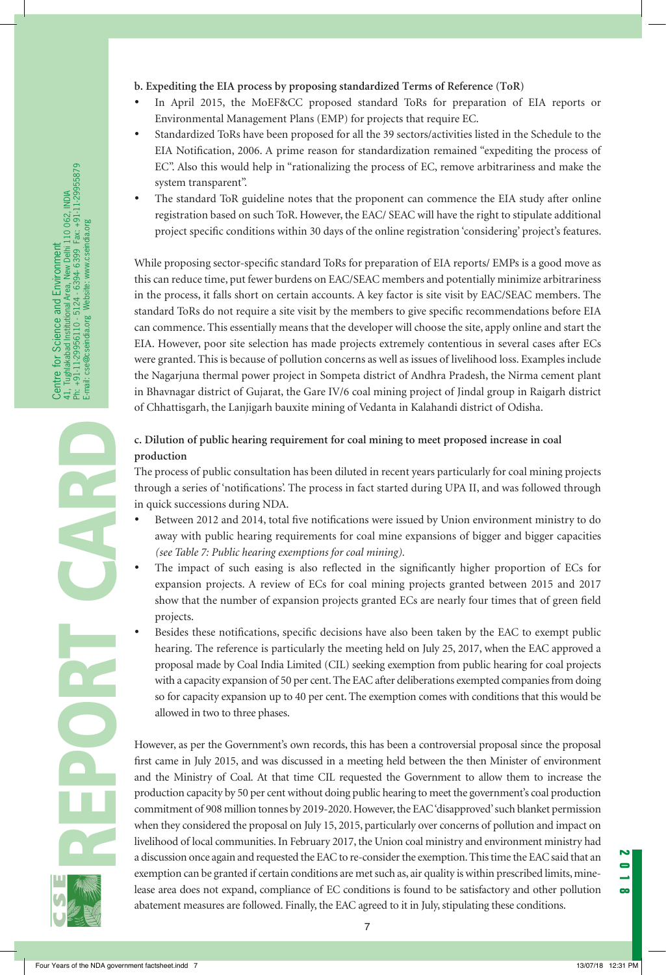- **b. Expediting the EIA process by proposing standardized Terms of Reference (ToR)**
- In April 2015, the MoEF&CC proposed standard ToRs for preparation of EIA reports or Environmental Management Plans (EMP) for projects that require EC.
- Standardized ToRs have been proposed for all the 39 sectors/activities listed in the Schedule to the EIA Notification, 2006. A prime reason for standardization remained "expediting the process of EC". Also this would help in "rationalizing the process of EC, remove arbitrariness and make the system transparent".
- The standard ToR guideline notes that the proponent can commence the EIA study after online registration based on such ToR. However, the EAC/ SEAC will have the right to stipulate additional project specific conditions within 30 days of the online registration 'considering' project's features.

While proposing sector-specific standard ToRs for preparation of EIA reports/ EMPs is a good move as this can reduce time, put fewer burdens on EAC/SEAC members and potentially minimize arbitrariness in the process, it falls short on certain accounts. A key factor is site visit by EAC/SEAC members. The standard ToRs do not require a site visit by the members to give specific recommendations before EIA can commence. This essentially means that the developer will choose the site, apply online and start the EIA. However, poor site selection has made projects extremely contentious in several cases after ECs were granted. This is because of pollution concerns as well as issues of livelihood loss. Examples include the Nagarjuna thermal power project in Sompeta district of Andhra Pradesh, the Nirma cement plant in Bhavnagar district of Gujarat, the Gare IV/6 coal mining project of Jindal group in Raigarh district of Chhattisgarh, the Lanjigarh bauxite mining of Vedanta in Kalahandi district of Odisha.

## **c. Dilution of public hearing requirement for coal mining to meet proposed increase in coal production**

The process of public consultation has been diluted in recent years particularly for coal mining projects through a series of 'notifications'. The process in fact started during UPA II, and was followed through in quick successions during NDA.

- Between 2012 and 2014, total five notifications were issued by Union environment ministry to do away with public hearing requirements for coal mine expansions of bigger and bigger capacities *(see Table 7: Public hearing exemptions for coal mining).*
- The impact of such easing is also reflected in the significantly higher proportion of ECs for expansion projects. A review of ECs for coal mining projects granted between 2015 and 2017 show that the number of expansion projects granted ECs are nearly four times that of green field projects.
- Besides these notifications, specific decisions have also been taken by the EAC to exempt public hearing. The reference is particularly the meeting held on July 25, 2017, when the EAC approved a proposal made by Coal India Limited (CIL) seeking exemption from public hearing for coal projects with a capacity expansion of 50 per cent. The EAC after deliberations exempted companies from doing so for capacity expansion up to 40 per cent. The exemption comes with conditions that this would be allowed in two to three phases.

However, as per the Government's own records, this has been a controversial proposal since the proposal first came in July 2015, and was discussed in a meeting held between the then Minister of environment and the Ministry of Coal. At that time CIL requested the Government to allow them to increase the production capacity by 50 per cent without doing public hearing to meet the government's coal production commitment of 908 million tonnes by 2019-2020. However, the EAC 'disapproved' such blanket permission when they considered the proposal on July 15, 2015, particularly over concerns of pollution and impact on livelihood of local communities. In February 2017, the Union coal ministry and environment ministry had a discussion once again and requested the EAC to re-consider the exemption. This time the EAC said that an exemption can be granted if certain conditions are met such as, air quality is within prescribed limits, minelease area does not expand, compliance of EC conditions is found to be satisfactory and other pollution abatement measures are followed. Finally, the EAC agreed to it in July, stipulating these conditions.

REPORT CARD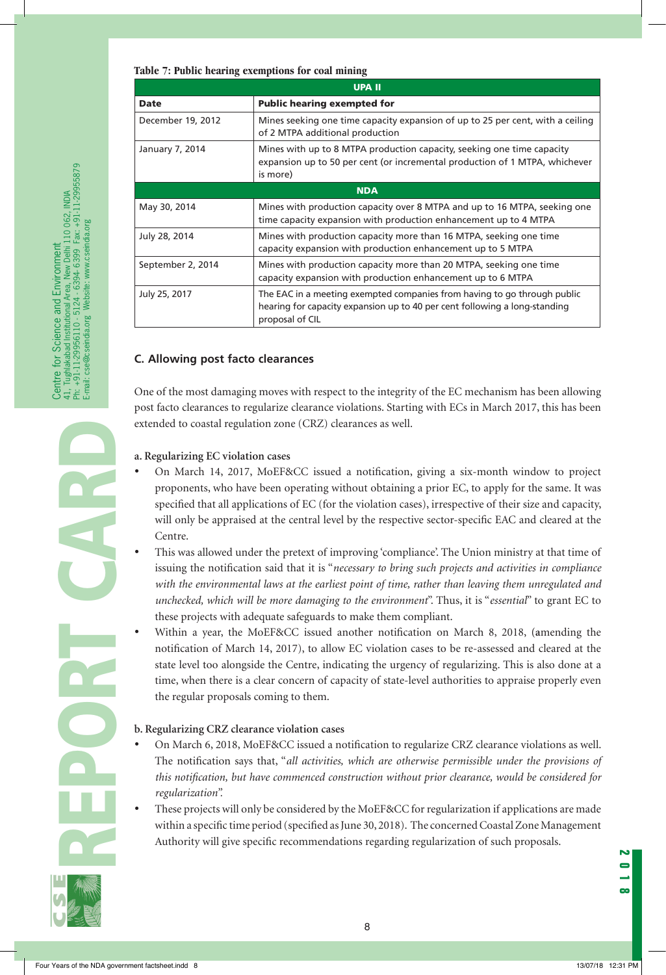#### **Table 7: Public hearing exemptions for coal mining**

|                   | <b>UPA II</b>                                                                                                                                                             |
|-------------------|---------------------------------------------------------------------------------------------------------------------------------------------------------------------------|
| <b>Date</b>       | <b>Public hearing exempted for</b>                                                                                                                                        |
| December 19, 2012 | Mines seeking one time capacity expansion of up to 25 per cent, with a ceiling<br>of 2 MTPA additional production                                                         |
| January 7, 2014   | Mines with up to 8 MTPA production capacity, seeking one time capacity<br>expansion up to 50 per cent (or incremental production of 1 MTPA, whichever<br>is more)         |
|                   | <b>NDA</b>                                                                                                                                                                |
| May 30, 2014      | Mines with production capacity over 8 MTPA and up to 16 MTPA, seeking one<br>time capacity expansion with production enhancement up to 4 MTPA                             |
| July 28, 2014     | Mines with production capacity more than 16 MTPA, seeking one time<br>capacity expansion with production enhancement up to 5 MTPA                                         |
| September 2, 2014 | Mines with production capacity more than 20 MTPA, seeking one time<br>capacity expansion with production enhancement up to 6 MTPA                                         |
| July 25, 2017     | The EAC in a meeting exempted companies from having to go through public<br>hearing for capacity expansion up to 40 per cent following a long-standing<br>proposal of CIL |

#### **C. Allowing post facto clearances**

One of the most damaging moves with respect to the integrity of the EC mechanism has been allowing post facto clearances to regularize clearance violations. Starting with ECs in March 2017, this has been extended to coastal regulation zone (CRZ) clearances as well.

#### **a. Regularizing EC violation cases**

- On March 14, 2017, MoEF&CC issued a notification, giving a six-month window to project proponents, who have been operating without obtaining a prior EC, to apply for the same. It was specified that all applications of EC (for the violation cases), irrespective of their size and capacity, will only be appraised at the central level by the respective sector-specific EAC and cleared at the Centre.
- This was allowed under the pretext of improving 'compliance'. The Union ministry at that time of issuing the notification said that it is "*necessary to bring such projects and activities in compliance with the environmental laws at the earliest point of time, rather than leaving them unregulated and unchecked, which will be more damaging to the environment*". Thus, it is "*essential*" to grant EC to these projects with adequate safeguards to make them compliant.
- • Within a year, the MoEF&CC issued another notification on March 8, 2018, **(a**mending the notification of March 14, 2017), to allow EC violation cases to be re-assessed and cleared at the state level too alongside the Centre, indicating the urgency of regularizing. This is also done at a time, when there is a clear concern of capacity of state-level authorities to appraise properly even the regular proposals coming to them.

#### **b. Regularizing CRZ clearance violation cases**

- On March 6, 2018, MoEF&CC issued a notification to regularize CRZ clearance violations as well. The notification says that, "*all activities, which are otherwise permissible under the provisions of this notification, but have commenced construction without prior clearance, would be considered for regularization".*
- These projects will only be considered by the MoEF&CC for regularization if applications are made within a specific time period (specified as June 30, 2018). The concerned Coastal Zone Management Authority will give specific recommendations regarding regularization of such proposals.

REPORT CARD

Centre for Science and Environment

41, Tughlakabad Institutional Area, New Delhi 110 062, INDIA Ph: +91-11-29956110 - 5124 - 6394- 6399 Fax: +91-11-29955879

Centre for Science and Environment<br>41, Tughlakabad Institutional Area, New Delhi 110 062, INDIA<br>Ph: +91-11-29956110 - 5124 - 6394-6399 Fax: +91-11-29955879<br>E-mail: cse@cseindia.org Website: www.cseindia.org

E-mail: cse@cseindia.org Website: www.cseindia.org

8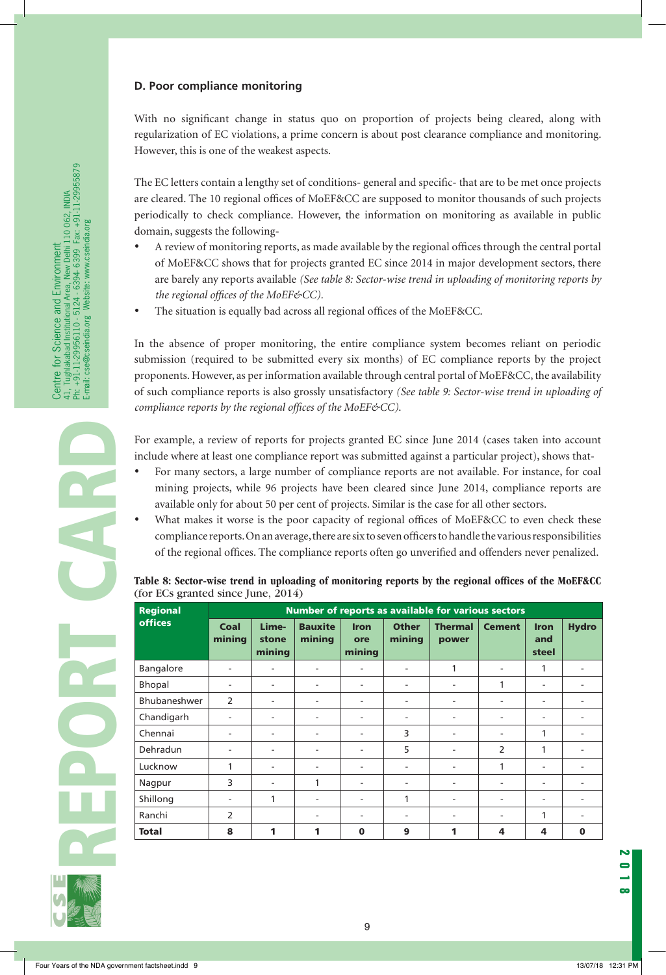#### **D. Poor compliance monitoring**

With no significant change in status quo on proportion of projects being cleared, along with regularization of EC violations, a prime concern is about post clearance compliance and monitoring. However, this is one of the weakest aspects.

The EC letters contain a lengthy set of conditions- general and specific- that are to be met once projects are cleared. The 10 regional offices of MoEF&CC are supposed to monitor thousands of such projects periodically to check compliance. However, the information on monitoring as available in public domain, suggests the following-

- A review of monitoring reports, as made available by the regional offices through the central portal of MoEF&CC shows that for projects granted EC since 2014 in major development sectors, there are barely any reports available *(See table 8: Sector-wise trend in uploading of monitoring reports by the regional offices of the MoEF&CC).*
- The situation is equally bad across all regional offices of the MoEF&CC.

In the absence of proper monitoring, the entire compliance system becomes reliant on periodic submission (required to be submitted every six months) of EC compliance reports by the project proponents. However, as per information available through central portal of MoEF&CC, the availability of such compliance reports is also grossly unsatisfactory *(See table 9: Sector-wise trend in uploading of compliance reports by the regional offices of the MoEF&CC)*.

For example, a review of reports for projects granted EC since June 2014 (cases taken into account include where at least one compliance report was submitted against a particular project), shows that-

- For many sectors, a large number of compliance reports are not available. For instance, for coal mining projects, while 96 projects have been cleared since June 2014, compliance reports are available only for about 50 per cent of projects. Similar is the case for all other sectors.
- What makes it worse is the poor capacity of regional offices of MoEF&CC to even check these compliance reports. On an average, there are six to seven officers to handle the various responsibilities of the regional offices. The compliance reports often go unverified and offenders never penalized.

| (for ECs granted since June, $2014$ ) | Table 8: Sector-wise trend in uploading of monitoring reports by the regional offices of the MoEF&CC |  |  |  |  |
|---------------------------------------|------------------------------------------------------------------------------------------------------|--|--|--|--|
|                                       |                                                                                                      |  |  |  |  |

| <b>Regional</b> |                | Number of reports as available for various sectors |                          |                              |                        |                         |                          |                             |              |
|-----------------|----------------|----------------------------------------------------|--------------------------|------------------------------|------------------------|-------------------------|--------------------------|-----------------------------|--------------|
| <b>offices</b>  | Coal<br>mining | Lime-<br>stone<br>mining                           | <b>Bauxite</b><br>mining | <b>Iron</b><br>ore<br>mining | <b>Other</b><br>mining | <b>Thermal</b><br>power | <b>Cement</b>            | <b>Iron</b><br>and<br>steel | <b>Hydro</b> |
| Bangalore       | ۰              | ٠                                                  | ۰                        | $\overline{\phantom{a}}$     | ۰                      | 1                       | $\overline{\phantom{a}}$ | 1                           |              |
| Bhopal          |                | ٠                                                  | ٠                        | $\overline{\phantom{a}}$     |                        | ۰                       | 1                        | ۰                           |              |
| Bhubaneshwer    | $\mathcal{P}$  | ۰                                                  | ۰                        | $\overline{\phantom{a}}$     |                        | ۰                       | $\blacksquare$           | ٠                           |              |
| Chandigarh      |                | ۰                                                  | ٠                        | $\overline{\phantom{a}}$     |                        | ۰                       | $\overline{\phantom{a}}$ | ۰                           |              |
| Chennai         | ۰              | $\overline{\phantom{a}}$                           | ۰                        | $\overline{\phantom{a}}$     | 3                      | ۰                       | $\overline{\phantom{a}}$ | 1                           |              |
| Dehradun        | ۰.             | ۰                                                  | ٠                        | $\overline{\phantom{a}}$     | 5                      | ۰                       | $\overline{2}$           | 1                           |              |
| Lucknow         | 1              | $\overline{\phantom{a}}$                           | ۰                        | $\overline{\phantom{a}}$     | -                      | ۰                       | 1                        | $\overline{\phantom{a}}$    |              |
| Nagpur          | 3              | $\overline{\phantom{a}}$                           | 1                        | $\overline{\phantom{a}}$     | ۰                      | ۰                       | $\overline{\phantom{a}}$ | $\overline{\phantom{a}}$    |              |
| Shillong        |                | 1                                                  | ۰                        | $\overline{\phantom{a}}$     | 1                      | ۰                       | $\overline{\phantom{a}}$ | ۰                           |              |
| Ranchi          | $\mathcal{P}$  |                                                    | ٠                        | $\overline{\phantom{a}}$     |                        | ۰                       | $\overline{\phantom{a}}$ | 1                           |              |
| <b>Total</b>    | 8              | 1                                                  | 1                        | $\bf{0}$                     | 9                      | 1                       | 4                        | 4                           | $\mathbf 0$  |

9



h.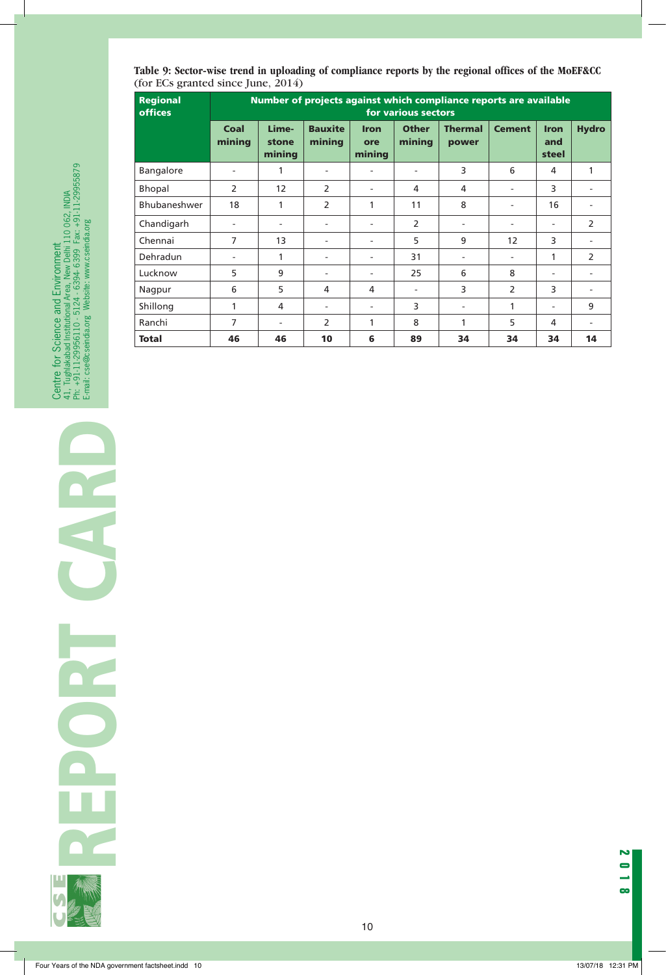**Table 9: Sector-wise trend in uploading of compliance reports by the regional offices of the MoEF&CC**  (for ECs granted since June, 2014)

| <b>Regional</b> | Number of projects against which compliance reports are available |                          |                          |                              |                        |                          |               |                             |                          |
|-----------------|-------------------------------------------------------------------|--------------------------|--------------------------|------------------------------|------------------------|--------------------------|---------------|-----------------------------|--------------------------|
| <b>offices</b>  | for various sectors                                               |                          |                          |                              |                        |                          |               |                             |                          |
|                 | Coal<br>mining                                                    | Lime-<br>stone<br>mining | <b>Bauxite</b><br>mining | <b>Iron</b><br>ore<br>mining | <b>Other</b><br>mining | <b>Thermal</b><br>power  | <b>Cement</b> | <b>Iron</b><br>and<br>steel | <b>Hydro</b>             |
| Bangalore       | $\blacksquare$                                                    | 1                        |                          |                              |                        | 3                        | 6             | 4                           | 1                        |
| Bhopal          | $\overline{2}$                                                    | 12                       | 2                        | ۰                            | 4                      | 4                        | ۰             | 3                           | ٠                        |
| Bhubaneshwer    | 18                                                                | 1                        | 2                        | 1                            | 11                     | 8                        |               | 16                          |                          |
| Chandigarh      | $\blacksquare$                                                    | $\overline{\phantom{a}}$ |                          | -                            | 2                      | $\overline{\phantom{a}}$ | ٠             | ٠                           | 2                        |
| Chennai         | $\overline{7}$                                                    | 13                       |                          | -                            | 5                      | 9                        | 12            | 3                           | $\overline{\phantom{a}}$ |
| Dehradun        | ٠                                                                 | 1                        |                          | Ξ.                           | 31                     | $\overline{a}$           | ۰             | 1                           | $\overline{2}$           |
| Lucknow         | 5                                                                 | 9                        |                          | ٠                            | 25                     | 6                        | 8             | ٠                           | ۰                        |
| Nagpur          | 6                                                                 | 5                        | 4                        | 4                            |                        | 3                        | 2             | 3                           | $\overline{\phantom{a}}$ |
| Shillong        | 1                                                                 | 4                        |                          | -                            | 3                      | $\overline{\phantom{a}}$ | 1             | ٠                           | 9                        |
| Ranchi          | $\overline{7}$                                                    | $\overline{\phantom{a}}$ | 2                        | 1                            | 8                      | 1                        | 5             | 4                           | ۰                        |
| <b>Total</b>    | 46                                                                | 46                       | 10                       | 6                            | 89                     | 34                       | 34            | 34                          | 14                       |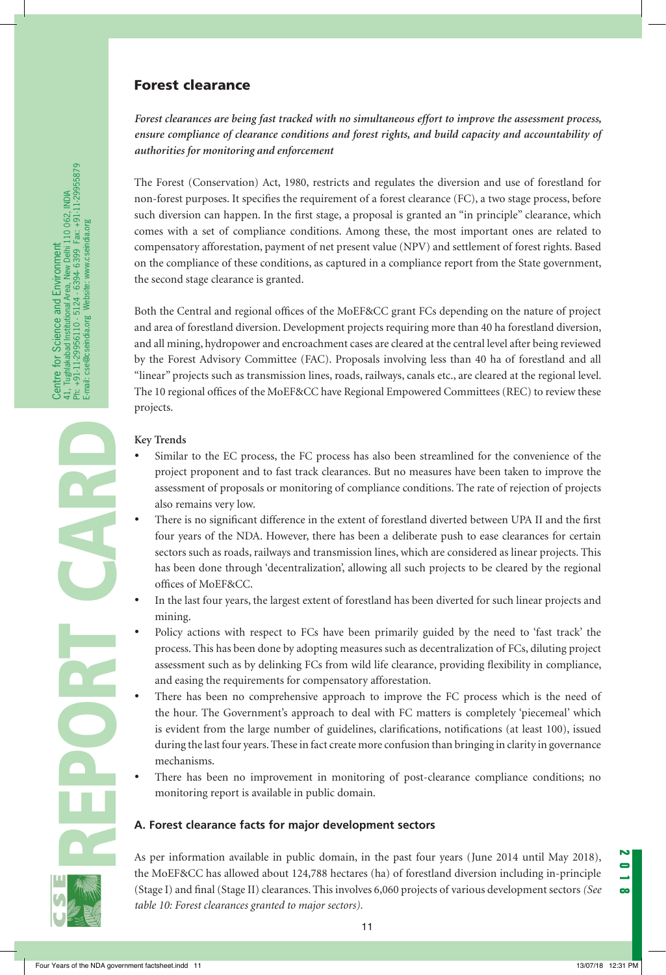## Forest clearance

*Forest clearances are being fast tracked with no simultaneous effort to improve the assessment process, ensure compliance of clearance conditions and forest rights, and build capacity and accountability of authorities for monitoring and enforcement* 

The Forest (Conservation) Act, 1980, restricts and regulates the diversion and use of forestland for non-forest purposes. It specifies the requirement of a forest clearance (FC), a two stage process, before such diversion can happen. In the first stage, a proposal is granted an "in principle" clearance, which comes with a set of compliance conditions. Among these, the most important ones are related to compensatory afforestation, payment of net present value (NPV) and settlement of forest rights. Based on the compliance of these conditions, as captured in a compliance report from the State government, the second stage clearance is granted.

Both the Central and regional offices of the MoEF&CC grant FCs depending on the nature of project and area of forestland diversion. Development projects requiring more than 40 ha forestland diversion, and all mining, hydropower and encroachment cases are cleared at the central level after being reviewed by the Forest Advisory Committee (FAC). Proposals involving less than 40 ha of forestland and all "linear" projects such as transmission lines, roads, railways, canals etc., are cleared at the regional level. The 10 regional offices of the MoEF&CC have Regional Empowered Committees (REC) to review these projects.

#### **Key Trends**

- Similar to the EC process, the FC process has also been streamlined for the convenience of the project proponent and to fast track clearances. But no measures have been taken to improve the assessment of proposals or monitoring of compliance conditions. The rate of rejection of projects also remains very low.
- There is no significant difference in the extent of forestland diverted between UPA II and the first four years of the NDA. However, there has been a deliberate push to ease clearances for certain sectors such as roads, railways and transmission lines, which are considered as linear projects. This has been done through 'decentralization', allowing all such projects to be cleared by the regional offices of MoEF&CC.
- In the last four years, the largest extent of forestland has been diverted for such linear projects and mining.
- Policy actions with respect to FCs have been primarily guided by the need to 'fast track' the process. This has been done by adopting measures such as decentralization of FCs, diluting project assessment such as by delinking FCs from wild life clearance, providing flexibility in compliance, and easing the requirements for compensatory afforestation.
- There has been no comprehensive approach to improve the FC process which is the need of the hour. The Government's approach to deal with FC matters is completely 'piecemeal' which is evident from the large number of guidelines, clarifications, notifications (at least 100), issued during the last four years. These in fact create more confusion than bringing in clarity in governance mechanisms.
- There has been no improvement in monitoring of post-clearance compliance conditions; no monitoring report is available in public domain.

#### **A. Forest clearance facts for major development sectors**

As per information available in public domain, in the past four years (June 2014 until May 2018), the MoEF&CC has allowed about 124,788 hectares (ha) of forestland diversion including in-principle (Stage I) and final (Stage II) clearances. This involves 6,060 projects of various development sectors *(See table 10: Forest clearances granted to major sectors).*

REPORT CARD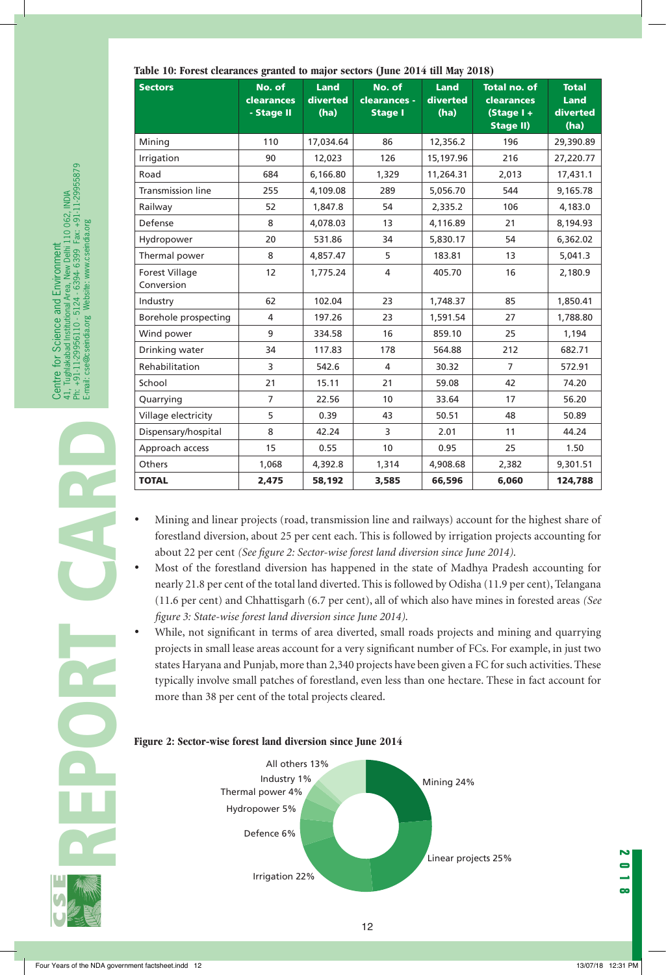| <b>Sectors</b>           | No. of            | <b>Land</b> | No. of         | Land      | <b>Total no. of</b> | <b>Total</b> |
|--------------------------|-------------------|-------------|----------------|-----------|---------------------|--------------|
|                          | <b>clearances</b> | diverted    | clearances -   | diverted  | <b>clearances</b>   | <b>Land</b>  |
|                          | - Stage II        | (ha)        | <b>Stage I</b> | (ha)      | $(Stage 1 +$        | diverted     |
|                          |                   |             |                |           | <b>Stage II)</b>    | (ha)         |
| Mining                   | 110               | 17,034.64   | 86             | 12,356.2  | 196                 | 29,390.89    |
| Irrigation               | 90                | 12,023      | 126            | 15,197.96 | 216                 | 27,220.77    |
| Road                     | 684               | 6,166.80    | 1,329          | 11,264.31 | 2,013               | 17,431.1     |
| <b>Transmission line</b> | 255               | 4,109.08    | 289            | 5,056.70  | 544                 | 9,165.78     |
| Railway                  | 52                | 1,847.8     | 54             | 2,335.2   | 106                 | 4,183.0      |
| Defense                  | 8                 | 4,078.03    | 13             | 4,116.89  | 21                  | 8,194.93     |
| Hydropower               | 20                | 531.86      | 34             | 5,830.17  | 54                  | 6,362.02     |
| Thermal power            | 8                 | 4,857.47    | 5              | 183.81    | 13                  | 5,041.3      |
| <b>Forest Village</b>    | 12                | 1,775.24    | 4              | 405.70    | 16                  | 2,180.9      |
| Conversion               |                   |             |                |           |                     |              |
| Industry                 | 62                | 102.04      | 23             | 1,748.37  | 85                  | 1,850.41     |
| Borehole prospecting     | 4                 | 197.26      | 23             | 1,591.54  | 27                  | 1,788.80     |
| Wind power               | 9                 | 334.58      | 16             | 859.10    | 25                  | 1,194        |
| Drinking water           | 34                | 117.83      | 178            | 564.88    | 212                 | 682.71       |
| Rehabilitation           | 3                 | 542.6       | 4              | 30.32     | $\overline{7}$      | 572.91       |
| School                   | 21                | 15.11       | 21             | 59.08     | 42                  | 74.20        |
| Quarrying                | $\overline{7}$    | 22.56       | 10             | 33.64     | 17                  | 56.20        |
| Village electricity      | 5                 | 0.39        | 43             | 50.51     | 48                  | 50.89        |
| Dispensary/hospital      | 8                 | 42.24       | 3              | 2.01      | 11                  | 44.24        |
| Approach access          | 15                | 0.55        | 10             | 0.95      | 25                  | 1.50         |
| Others                   | 1,068             | 4,392.8     | 1,314          | 4,908.68  | 2,382               | 9,301.51     |
| <b>TOTAL</b>             | 2,475             | 58,192      | 3,585          | 66,596    | 6,060               | 124,788      |

#### **Table 10: Forest clearances granted to major sectors (June 2014 till May 2018)**

- Mining and linear projects (road, transmission line and railways) account for the highest share of forestland diversion, about 25 per cent each. This is followed by irrigation projects accounting for about 22 per cent *(See figure 2: Sector-wise forest land diversion since June 2014)*.
- Most of the forestland diversion has happened in the state of Madhya Pradesh accounting for nearly 21.8 per cent of the total land diverted. This is followed by Odisha (11.9 per cent), Telangana (11.6 per cent) and Chhattisgarh (6.7 per cent), all of which also have mines in forested areas *(See figure 3: State-wise forest land diversion since June 2014)*.
- While, not significant in terms of area diverted, small roads projects and mining and quarrying projects in small lease areas account for a very significant number of FCs. For example, in just two states Haryana and Punjab, more than 2,340 projects have been given a FC for such activities. These typically involve small patches of forestland, even less than one hectare. These in fact account for more than 38 per cent of the total projects cleared.





REPORT CARD

Centre for Science and Environment

41, Tughlakabad Institutional Area, New Delhi 110 062, INDIA Ph: +91-11-29956110 - 5124 - 6394- 6399 Fax: +91-11-29955879

Centre for Science and Environment<br>41, Tughlakabad Institutional Area, New Delhi 110 062, INDIA<br>Ph: +91-11-29956110 - 5124 - 6394-6399 Fax: +91-11-29955879<br>E-mail: cse@cseindia.org Website: www.cseindia.org

E-mail: cse@cseindia.org Website: www.cseindia.org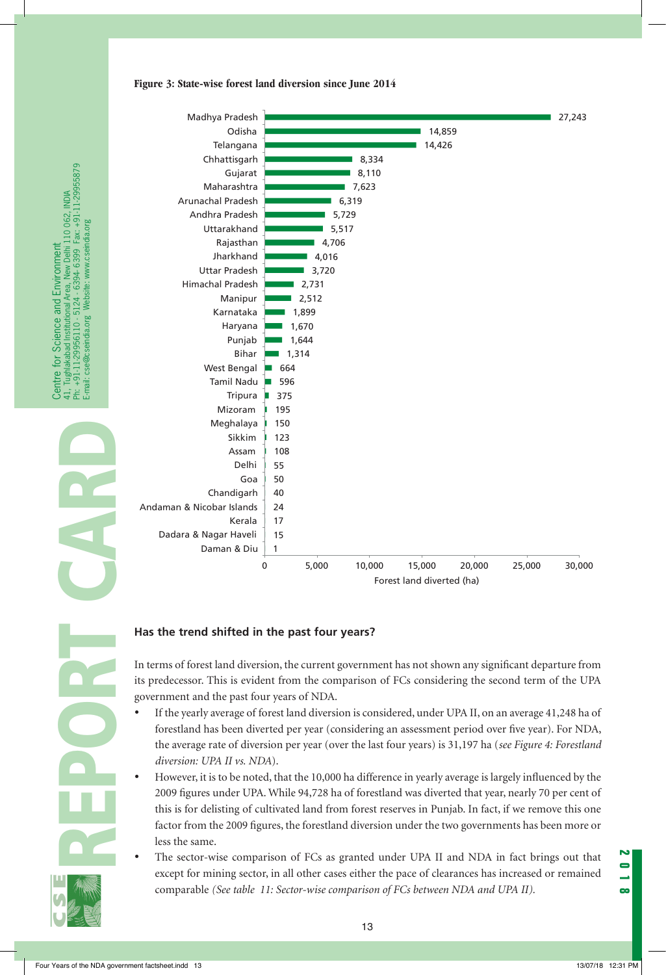



## **Has the trend shifted in the past four years?**

In terms of forest land diversion, the current government has not shown any significant departure from its predecessor. This is evident from the comparison of FCs considering the second term of the UPA government and the past four years of NDA.

- If the yearly average of forest land diversion is considered, under UPA II, on an average 41,248 ha of forestland has been diverted per year (considering an assessment period over five year). For NDA, the average rate of diversion per year (over the last four years) is 31,197 ha (*see Figure 4: Forestland diversion: UPA II vs. NDA*).
- However, it is to be noted, that the 10,000 ha difference in yearly average is largely influenced by the 2009 figures under UPA. While 94,728 ha of forestland was diverted that year, nearly 70 per cent of this is for delisting of cultivated land from forest reserves in Punjab. In fact, if we remove this one factor from the 2009 figures, the forestland diversion under the two governments has been more or less the same.
- The sector-wise comparison of FCs as granted under UPA II and NDA in fact brings out that except for mining sector, in all other cases either the pace of clearances has increased or remained comparable *(See table 11: Sector-wise comparison of FCs between NDA and UPA II).*

**2018**



REPORT CARD

Centre for Science and Environment

41, Tughlakabad Institutional Area, New Delhi 110 062, INDIA Ph: +91-11-29956110 - 5124 - 6394- 6399 Fax: +91-11-29955879

Centre for<br>41, Tughlakab<br>Ph: +91-11-29<br>E-mail: cse@c

ntre for Science and Environment<br>Tughakabad Institutional Area, New Delhi 110 062, INDIA<br>+91-11-29956110 - 5124 - 6394 6399 Fax: +91-11-29955879<br>ail: cse@cseindia.org Website: www.cseindia.org

E-mail: cse@cseindia.org Website: www.cseindia.org

www.cseindia.org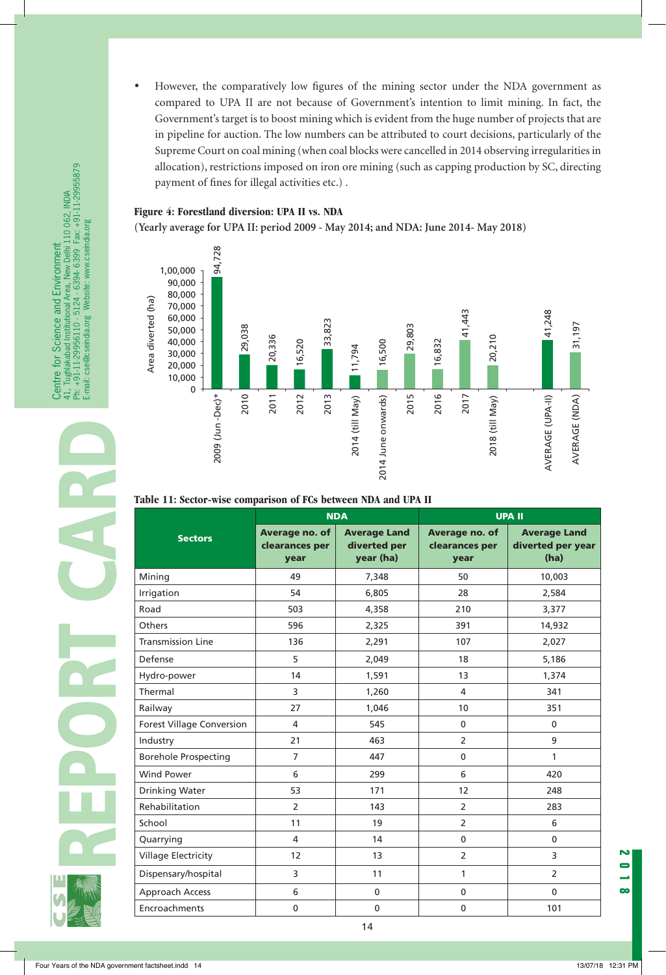However, the comparatively low figures of the mining sector under the NDA government as compared to UPA II are not because of Government's intention to limit mining. In fact, the Government's target is to boost mining which is evident from the huge number of projects that are in pipeline for auction. The low numbers can be attributed to court decisions, particularly of the Supreme Court on coal mining (when coal blocks were cancelled in 2014 observing irregularities in allocation), restrictions imposed on iron ore mining (such as capping production by SC, directing payment of fines for illegal activities etc.) .

#### **Figure 4: Forestland diversion: UPA II vs. NDA**

**(Yearly average for UPA II: period 2009 - May 2014; and NDA: June 2014- May 2018)**



#### **Table 11: Sector-wise comparison of FCs between NDA and UPA II**

|                                  | <b>NDA</b>                               |                                                  | <b>UPA II</b>                            |                                                  |
|----------------------------------|------------------------------------------|--------------------------------------------------|------------------------------------------|--------------------------------------------------|
| <b>Sectors</b>                   | Average no. of<br>clearances per<br>year | <b>Average Land</b><br>diverted per<br>year (ha) | Average no. of<br>clearances per<br>year | <b>Average Land</b><br>diverted per year<br>(ha) |
| Mining                           | 49                                       | 7,348                                            | 50                                       | 10,003                                           |
| Irrigation                       | 54                                       | 6,805                                            | 28                                       | 2,584                                            |
| Road                             | 503                                      | 4,358                                            | 210                                      | 3,377                                            |
| Others                           | 596                                      | 2,325                                            | 391                                      | 14,932                                           |
| <b>Transmission Line</b>         | 136                                      | 2,291                                            | 107                                      | 2,027                                            |
| Defense                          | 5                                        | 2,049                                            | 18                                       | 5,186                                            |
| Hydro-power                      | 14                                       | 1,591                                            | 13                                       | 1,374                                            |
| Thermal                          | 3                                        | 1,260                                            | 4                                        | 341                                              |
| Railway                          | 27                                       | 1,046                                            | 10                                       | 351                                              |
| <b>Forest Village Conversion</b> | 4                                        | 545                                              | $\mathbf 0$                              | $\mathbf{0}$                                     |
| Industry                         | 21                                       | 463                                              | $\overline{2}$                           | 9                                                |
| <b>Borehole Prospecting</b>      | $\overline{7}$                           | 447                                              | $\mathbf 0$                              | 1                                                |
| <b>Wind Power</b>                | 6                                        | 299                                              | 6                                        | 420                                              |
| Drinking Water                   | 53                                       | 171                                              | 12                                       | 248                                              |
| Rehabilitation                   | $\overline{2}$                           | 143                                              | $\overline{2}$                           | 283                                              |
| School                           | 11                                       | 19                                               | $\overline{2}$                           | 6                                                |
| Quarrying                        | 4                                        | 14                                               | $\mathbf{0}$                             | $\mathbf{0}$                                     |
| <b>Village Electricity</b>       | 12                                       | 13                                               | $\overline{2}$                           | $\overline{3}$                                   |
| Dispensary/hospital              | 3                                        | 11                                               | 1                                        | $\overline{2}$                                   |
| Approach Access                  | 6                                        | $\mathbf 0$                                      | $\mathbf 0$                              | $\mathbf{0}$                                     |
| Encroachments                    | $\mathbf 0$                              | $\mathbf 0$                                      | $\mathbf 0$                              | 101                                              |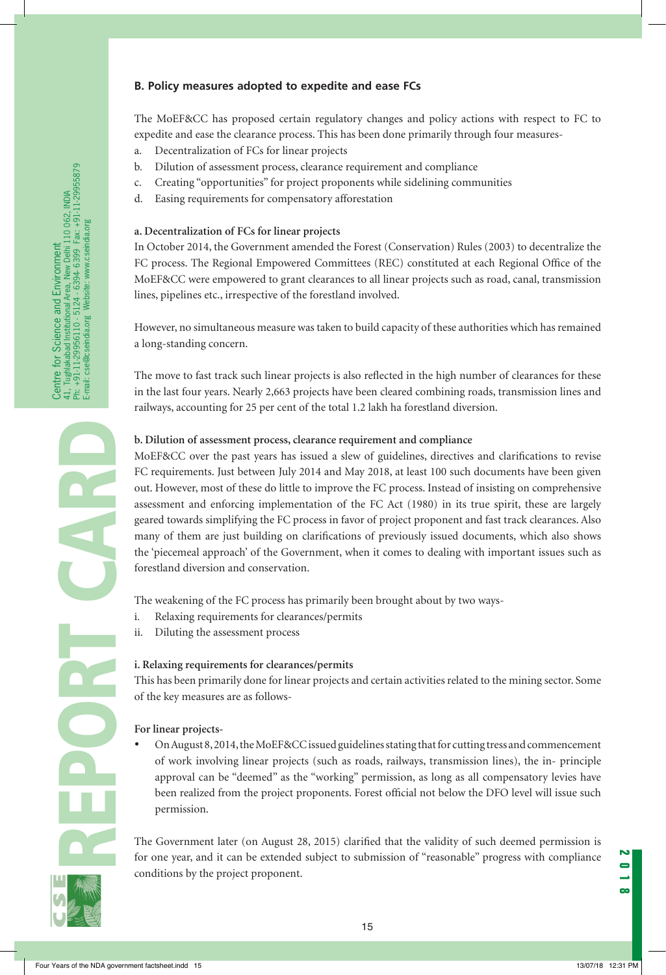#### **B. Policy measures adopted to expedite and ease FCs**

The MoEF&CC has proposed certain regulatory changes and policy actions with respect to FC to expedite and ease the clearance process. This has been done primarily through four measures-

- a. Decentralization of FCs for linear projects
- b. Dilution of assessment process, clearance requirement and compliance
- c. Creating "opportunities" for project proponents while sidelining communities
- d. Easing requirements for compensatory afforestation

#### **a. Decentralization of FCs for linear projects**

In October 2014, the Government amended the Forest (Conservation) Rules (2003) to decentralize the FC process. The Regional Empowered Committees (REC) constituted at each Regional Office of the MoEF&CC were empowered to grant clearances to all linear projects such as road, canal, transmission lines, pipelines etc., irrespective of the forestland involved.

However, no simultaneous measure was taken to build capacity of these authorities which has remained a long-standing concern.

The move to fast track such linear projects is also reflected in the high number of clearances for these in the last four years. Nearly 2,663 projects have been cleared combining roads, transmission lines and railways, accounting for 25 per cent of the total 1.2 lakh ha forestland diversion.

#### **b. Dilution of assessment process, clearance requirement and compliance**

MoEF&CC over the past years has issued a slew of guidelines, directives and clarifications to revise FC requirements. Just between July 2014 and May 2018, at least 100 such documents have been given out. However, most of these do little to improve the FC process. Instead of insisting on comprehensive assessment and enforcing implementation of the FC Act (1980) in its true spirit, these are largely geared towards simplifying the FC process in favor of project proponent and fast track clearances. Also many of them are just building on clarifications of previously issued documents, which also shows the 'piecemeal approach' of the Government, when it comes to dealing with important issues such as forestland diversion and conservation.

The weakening of the FC process has primarily been brought about by two ways-

- i. Relaxing requirements for clearances/permits
- ii. Diluting the assessment process

#### **i. Relaxing requirements for clearances/permits**

This has been primarily done for linear projects and certain activities related to the mining sector. Some of the key measures are as follows-

#### **For linear projects-**

On August 8, 2014, the MoEF&CC issued guidelines stating that for cutting tress and commencement of work involving linear projects (such as roads, railways, transmission lines), the in- principle approval can be "deemed" as the "working" permission, as long as all compensatory levies have been realized from the project proponents. Forest official not below the DFO level will issue such permission.

The Government later (on August 28, 2015) clarified that the validity of such deemed permission is for one year, and it can be extended subject to submission of "reasonable" progress with compliance conditions by the project proponent.

REPORT CARD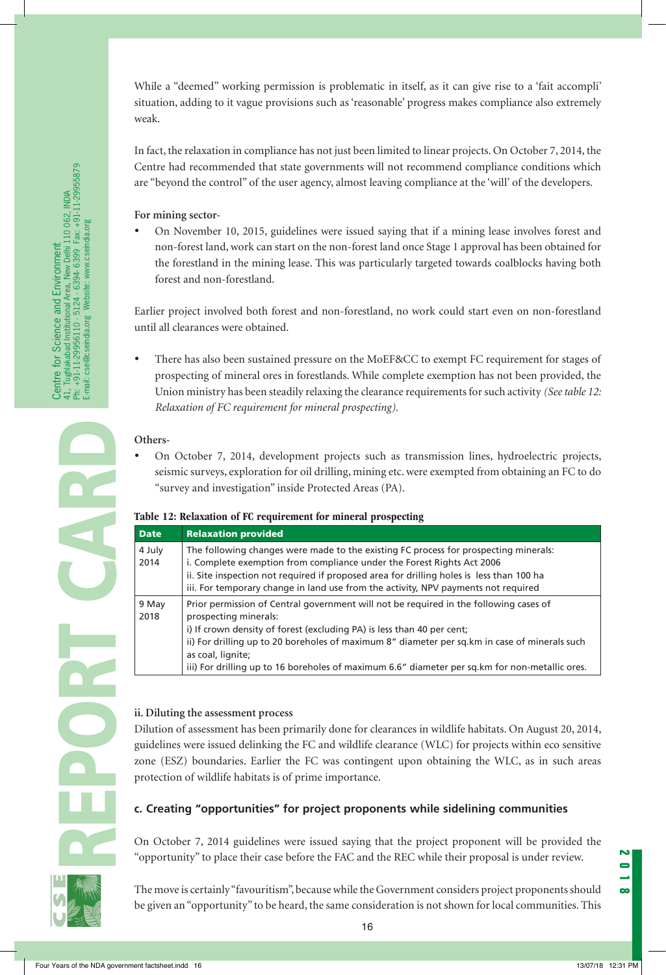While a "deemed" working permission is problematic in itself, as it can give rise to a 'fait accompli' situation, adding to it vague provisions such as 'reasonable' progress makes compliance also extremely weak.

In fact, the relaxation in compliance has not just been limited to linear projects. On October 7, 2014, the Centre had recommended that state governments will not recommend compliance conditions which are "beyond the control" of the user agency, almost leaving compliance at the 'will' of the developers.

#### **For mining sector-**

On November 10, 2015, guidelines were issued saying that if a mining lease involves forest and non-forest land, work can start on the non-forest land once Stage 1 approval has been obtained for the forestland in the mining lease. This was particularly targeted towards coalblocks having both forest and non-forestland.

Earlier project involved both forest and non-forestland, no work could start even on non-forestland until all clearances were obtained.

There has also been sustained pressure on the MoEF&CC to exempt FC requirement for stages of prospecting of mineral ores in forestlands. While complete exemption has not been provided, the Union ministry has been steadily relaxing the clearance requirements for such activity *(See table 12: Relaxation of FC requirement for mineral prospecting).*

#### **Others-**

On October 7, 2014, development projects such as transmission lines, hydroelectric projects, seismic surveys, exploration for oil drilling, mining etc. were exempted from obtaining an FC to do "survey and investigation" inside Protected Areas (PA).

#### **Table 12: Relaxation of FC requirement for mineral prospecting**

| <b>Date</b>    | <b>Relaxation provided</b>                                                                                                                                                                                                                                                                                                                                                                                        |
|----------------|-------------------------------------------------------------------------------------------------------------------------------------------------------------------------------------------------------------------------------------------------------------------------------------------------------------------------------------------------------------------------------------------------------------------|
| 4 July<br>2014 | The following changes were made to the existing FC process for prospecting minerals:<br>i. Complete exemption from compliance under the Forest Rights Act 2006<br>ii. Site inspection not required if proposed area for drilling holes is less than 100 ha<br>iii. For temporary change in land use from the activity, NPV payments not required                                                                  |
| 9 May<br>2018  | Prior permission of Central government will not be required in the following cases of<br>prospecting minerals:<br>i) If crown density of forest (excluding PA) is less than 40 per cent;<br>ii) For drilling up to 20 boreholes of maximum 8" diameter per sq.km in case of minerals such<br>as coal, lignite;<br>iii) For drilling up to 16 boreholes of maximum 6.6" diameter per sq. km for non-metallic ores. |

## **ii. Diluting the assessment process**

Dilution of assessment has been primarily done for clearances in wildlife habitats. On August 20, 2014, guidelines were issued delinking the FC and wildlife clearance (WLC) for projects within eco sensitive zone (ESZ) boundaries. Earlier the FC was contingent upon obtaining the WLC, as in such areas protection of wildlife habitats is of prime importance.

## **c. Creating "opportunities" for project proponents while sidelining communities**

On October 7, 2014 guidelines were issued saying that the project proponent will be provided the "opportunity" to place their case before the FAC and the REC while their proposal is under review.

The move is certainly "favouritism", because while the Government considers project proponents should be given an "opportunity" to be heard, the same consideration is not shown for local communities. This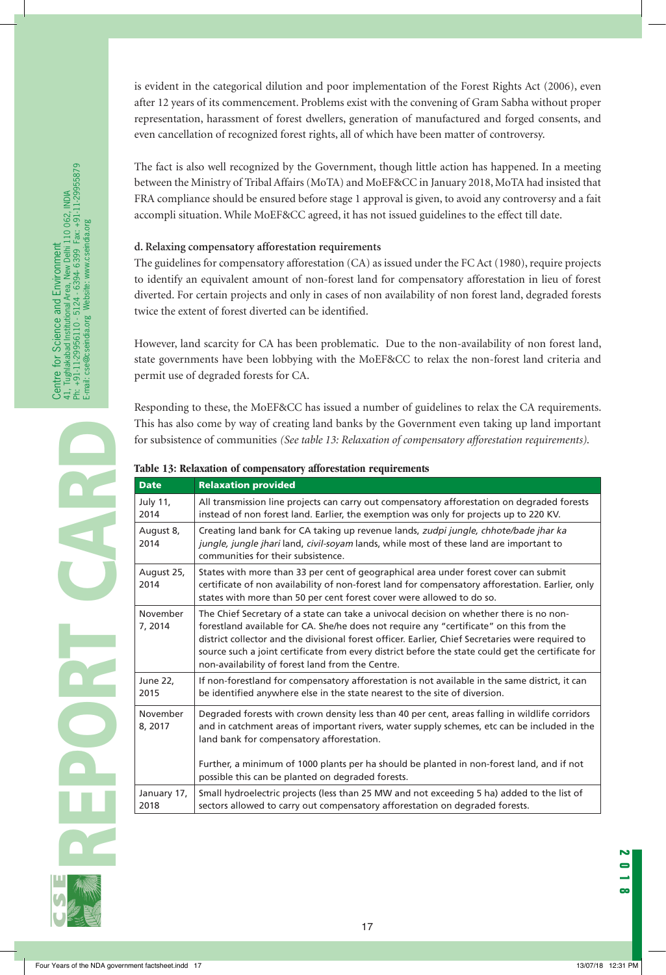is evident in the categorical dilution and poor implementation of the Forest Rights Act (2006), even after 12 years of its commencement. Problems exist with the convening of Gram Sabha without proper representation, harassment of forest dwellers, generation of manufactured and forged consents, and even cancellation of recognized forest rights, all of which have been matter of controversy.

The fact is also well recognized by the Government, though little action has happened. In a meeting between the Ministry of Tribal Affairs (MoTA) and MoEF&CC in January 2018, MoTA had insisted that FRA compliance should be ensured before stage 1 approval is given, to avoid any controversy and a fait accompli situation. While MoEF&CC agreed, it has not issued guidelines to the effect till date.

#### **d. Relaxing compensatory afforestation requirements**

The guidelines for compensatory afforestation (CA) as issued under the FC Act (1980), require projects to identify an equivalent amount of non-forest land for compensatory afforestation in lieu of forest diverted. For certain projects and only in cases of non availability of non forest land, degraded forests twice the extent of forest diverted can be identified.

However, land scarcity for CA has been problematic. Due to the non-availability of non forest land, state governments have been lobbying with the MoEF&CC to relax the non-forest land criteria and permit use of degraded forests for CA.

Responding to these, the MoEF&CC has issued a number of guidelines to relax the CA requirements. This has also come by way of creating land banks by the Government even taking up land important for subsistence of communities *(See table 13: Relaxation of compensatory afforestation requirements)*.

#### **Table 13: Relaxation of compensatory afforestation requirements**

| <b>Date</b>         | <b>Relaxation provided</b>                                                                                                                                                                                                                                                                                                                                                                                                                        |
|---------------------|---------------------------------------------------------------------------------------------------------------------------------------------------------------------------------------------------------------------------------------------------------------------------------------------------------------------------------------------------------------------------------------------------------------------------------------------------|
| July 11,<br>2014    | All transmission line projects can carry out compensatory afforestation on degraded forests<br>instead of non forest land. Earlier, the exemption was only for projects up to 220 KV.                                                                                                                                                                                                                                                             |
| August 8,<br>2014   | Creating land bank for CA taking up revenue lands, zudpi jungle, chhote/bade jhar ka<br>jungle, jungle jhari land, civil-soyam lands, while most of these land are important to<br>communities for their subsistence.                                                                                                                                                                                                                             |
| August 25,<br>2014  | States with more than 33 per cent of geographical area under forest cover can submit<br>certificate of non availability of non-forest land for compensatory afforestation. Earlier, only<br>states with more than 50 per cent forest cover were allowed to do so.                                                                                                                                                                                 |
| November<br>7, 2014 | The Chief Secretary of a state can take a univocal decision on whether there is no non-<br>forestland available for CA. She/he does not require any "certificate" on this from the<br>district collector and the divisional forest officer. Earlier, Chief Secretaries were required to<br>source such a joint certificate from every district before the state could get the certificate for<br>non-availability of forest land from the Centre. |
| June 22,<br>2015    | If non-forestland for compensatory afforestation is not available in the same district, it can<br>be identified anywhere else in the state nearest to the site of diversion.                                                                                                                                                                                                                                                                      |
| November<br>8, 2017 | Degraded forests with crown density less than 40 per cent, areas falling in wildlife corridors<br>and in catchment areas of important rivers, water supply schemes, etc can be included in the<br>land bank for compensatory afforestation.<br>Further, a minimum of 1000 plants per ha should be planted in non-forest land, and if not                                                                                                          |
|                     | possible this can be planted on degraded forests.                                                                                                                                                                                                                                                                                                                                                                                                 |
| January 17,<br>2018 | Small hydroelectric projects (less than 25 MW and not exceeding 5 ha) added to the list of<br>sectors allowed to carry out compensatory afforestation on degraded forests.                                                                                                                                                                                                                                                                        |

**POS** 

17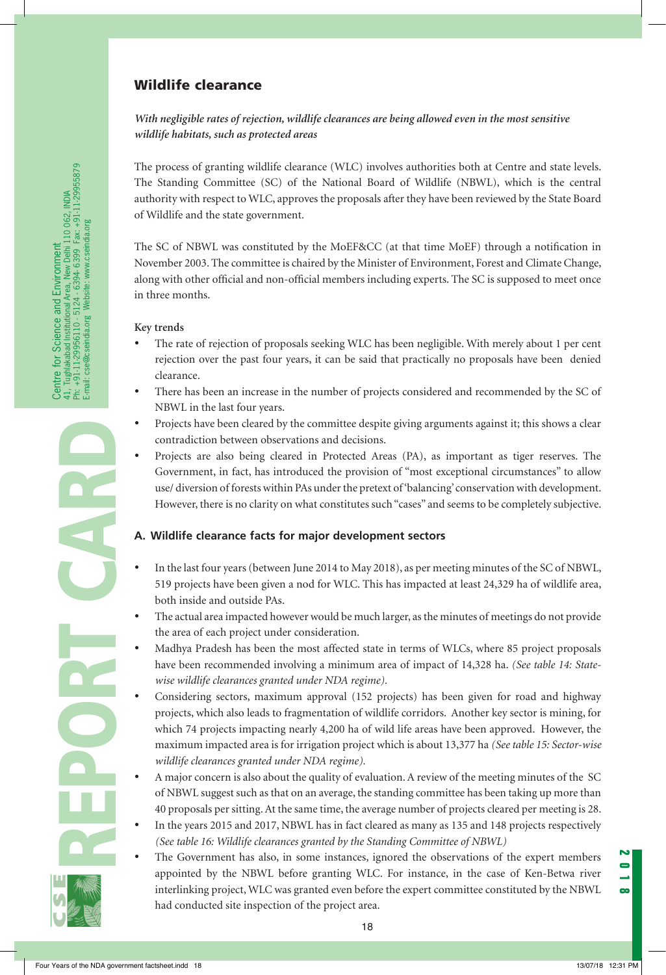# Wildlife clearance

## *With negligible rates of rejection, wildlife clearances are being allowed even in the most sensitive wildlife habitats, such as protected areas*

The process of granting wildlife clearance (WLC) involves authorities both at Centre and state levels. The Standing Committee (SC) of the National Board of Wildlife (NBWL), which is the central authority with respect to WLC, approves the proposals after they have been reviewed by the State Board of Wildlife and the state government.

The SC of NBWL was constituted by the MoEF&CC (at that time MoEF) through a notification in November 2003. The committee is chaired by the Minister of Environment, Forest and Climate Change, along with other official and non-official members including experts. The SC is supposed to meet once in three months.

#### **Key trends**

- The rate of rejection of proposals seeking WLC has been negligible. With merely about 1 per cent rejection over the past four years, it can be said that practically no proposals have been denied clearance.
- There has been an increase in the number of projects considered and recommended by the SC of NBWL in the last four years.
- Projects have been cleared by the committee despite giving arguments against it; this shows a clear contradiction between observations and decisions.
- Projects are also being cleared in Protected Areas (PA), as important as tiger reserves. The Government, in fact, has introduced the provision of "most exceptional circumstances" to allow use/ diversion of forests within PAs under the pretext of 'balancing' conservation with development. However, there is no clarity on what constitutes such "cases" and seems to be completely subjective.

## **A. Wildlife clearance facts for major development sectors**

- In the last four years (between June 2014 to May 2018), as per meeting minutes of the SC of NBWL, 519 projects have been given a nod for WLC. This has impacted at least 24,329 ha of wildlife area, both inside and outside PAs.
- The actual area impacted however would be much larger, as the minutes of meetings do not provide the area of each project under consideration.
- Madhya Pradesh has been the most affected state in terms of WLCs, where 85 project proposals have been recommended involving a minimum area of impact of 14,328 ha. *(See table 14: Statewise wildlife clearances granted under NDA regime).*
- Considering sectors, maximum approval (152 projects) has been given for road and highway projects, which also leads to fragmentation of wildlife corridors. Another key sector is mining, for which 74 projects impacting nearly 4,200 ha of wild life areas have been approved. However, the maximum impacted area is for irrigation project which is about 13,377 ha *(See table 15: Sector-wise wildlife clearances granted under NDA regime).*
- A major concern is also about the quality of evaluation. A review of the meeting minutes of the SC of NBWL suggest such as that on an average, the standing committee has been taking up more than 40 proposals per sitting. At the same time, the average number of projects cleared per meeting is 28.
- In the years 2015 and 2017, NBWL has in fact cleared as many as 135 and 148 projects respectively *(See table 16: Wildlife clearances granted by the Standing Committee of NBWL)*
- The Government has also, in some instances, ignored the observations of the expert members appointed by the NBWL before granting WLC. For instance, in the case of Ken-Betwa river interlinking project, WLC was granted even before the expert committee constituted by the NBWL had conducted site inspection of the project area.



REPORT CARD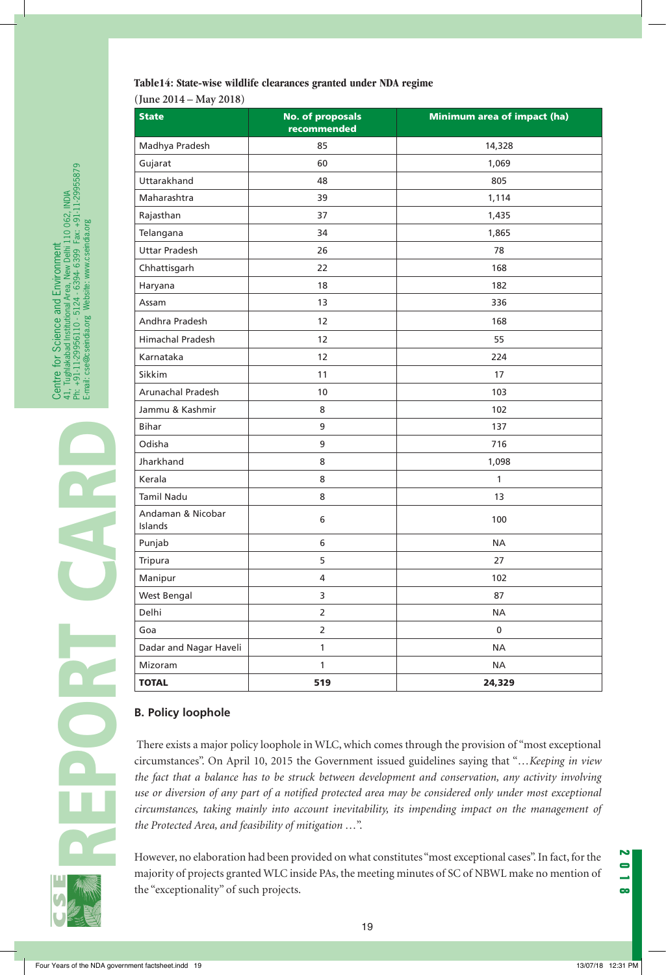**(June 2014 – May 2018)**

| <b>State</b>                 | <b>No. of proposals</b><br>recommended | Minimum area of impact (ha) |  |
|------------------------------|----------------------------------------|-----------------------------|--|
| Madhya Pradesh               | 85                                     | 14,328                      |  |
| Gujarat                      | 60                                     | 1,069                       |  |
| Uttarakhand                  | 48                                     | 805                         |  |
| Maharashtra                  | 39<br>1,114                            |                             |  |
| Rajasthan                    | 37                                     | 1,435                       |  |
| Telangana                    | 34                                     | 1,865                       |  |
| <b>Uttar Pradesh</b>         | 26                                     | 78                          |  |
| Chhattisgarh                 | 22                                     | 168                         |  |
| Haryana                      | 18                                     | 182                         |  |
| Assam                        | 13                                     | 336                         |  |
| Andhra Pradesh               | 12                                     | 168                         |  |
| <b>Himachal Pradesh</b>      | 12                                     | 55                          |  |
| Karnataka                    | 12                                     | 224                         |  |
| Sikkim                       | 11                                     | 17                          |  |
| Arunachal Pradesh            | 10                                     | 103                         |  |
| Jammu & Kashmir              | 8                                      | 102                         |  |
| <b>Bihar</b>                 | 9                                      | 137                         |  |
| Odisha                       | 9<br>716                               |                             |  |
| Jharkhand                    | 8                                      | 1,098                       |  |
| Kerala                       | 8                                      | $\mathbf{1}$                |  |
| <b>Tamil Nadu</b>            | 8                                      | 13                          |  |
| Andaman & Nicobar<br>Islands | 6                                      | 100                         |  |
| Punjab                       | 6<br><b>NA</b>                         |                             |  |
| Tripura                      | 5                                      | 27                          |  |
| Manipur                      | 4                                      | 102                         |  |
| West Bengal                  | 3                                      | 87                          |  |
| Delhi                        | $\overline{2}$                         | <b>NA</b>                   |  |
| Goa                          | $\overline{2}$                         | 0                           |  |
| Dadar and Nagar Haveli       | 1                                      | <b>NA</b>                   |  |
| Mizoram                      | $\mathbf{1}$                           | <b>NA</b>                   |  |
| <b>TOTAL</b>                 | 519                                    | 24,329                      |  |

## **B. Policy loophole**

 There exists a major policy loophole in WLC, which comes through the provision of "most exceptional circumstances". On April 10, 2015 the Government issued guidelines saying that "…*Keeping in view the fact that a balance has to be struck between development and conservation, any activity involving use or diversion of any part of a notified protected area may be considered only under most exceptional circumstances, taking mainly into account inevitability, its impending impact on the management of the Protected Area, and feasibility of mitigation* …".

However, no elaboration had been provided on what constitutes "most exceptional cases". In fact, for the majority of projects granted WLC inside PAs, the meeting minutes of SC of NBWL make no mention of the "exceptionality" of such projects.